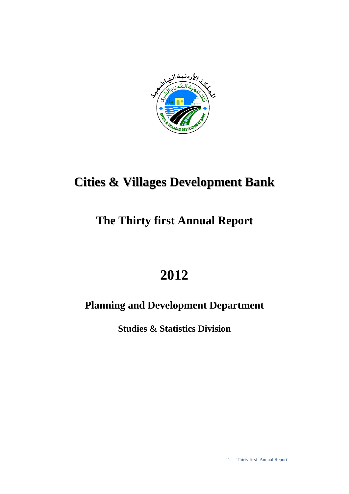

# **Cities & Villages Development Bank**

# **The Thirty first Annual Report**

# **2012**

# **Planning and Development Department**

**Studies & Statistics Division**

1 Thirty first Annual Report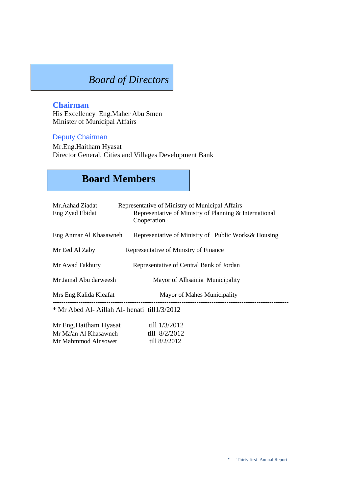# *Board of Directors*

#### **Chairman**

His Excellency Eng.Maher Abu Smen Minister of Municipal Affairs

#### Deputy Chairman

Mr.Eng.Haitham Hyasat Director General, Cities and Villages Development Bank

# **Board Members**

| Mr.Aahad Ziadat<br>Eng Zyad Ebidat           | Representative of Ministry of Municipal Affairs<br>Representative of Ministry of Planning & International<br>Cooperation |
|----------------------------------------------|--------------------------------------------------------------------------------------------------------------------------|
| Eng Anmar Al Khasawneh                       | Representative of Ministry of Public Works & Housing                                                                     |
| Mr Eed Al Zaby                               | Representative of Ministry of Finance                                                                                    |
| Mr Awad Fakhury                              | Representative of Central Bank of Jordan                                                                                 |
| Mr Jamal Abu darweesh                        | Mayor of Alhsainia Municipality                                                                                          |
| Mrs Eng. Kalida Kleafat                      | Mayor of Mahes Municipality                                                                                              |
| * Mr Abed Al- Aillah Al- henati till1/3/2012 |                                                                                                                          |
| Mr Eng. Haitham Hyasat                       | till $1/3/2012$                                                                                                          |

| Mr Eng.Haitham Hyasat | till 1/3/2012   |
|-----------------------|-----------------|
| Mr Ma'an Al Khasawneh | till 8/2/2012   |
| Mr Mahmmod Alnsower   | till $8/2/2012$ |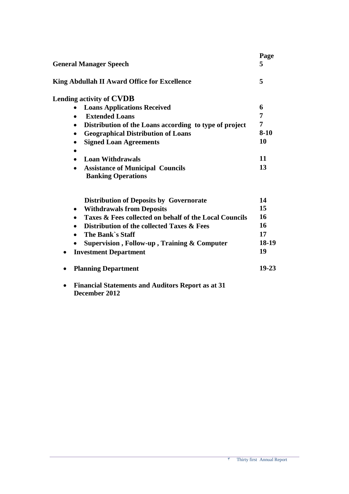| <b>General Manager Speech</b>                                        | Page<br>5 |
|----------------------------------------------------------------------|-----------|
| <b>King Abdullah II Award Office for Excellence</b>                  | 5         |
| Lending activity of CVDB                                             |           |
| <b>Loans Applications Received</b><br>$\bullet$                      | 6         |
| <b>Extended Loans</b><br>$\bullet$                                   | 7         |
| Distribution of the Loans according to type of project<br>$\bullet$  | 7         |
| <b>Geographical Distribution of Loans</b><br>$\bullet$               | $8 - 10$  |
| <b>Signed Loan Agreements</b><br>٠                                   | 10        |
|                                                                      |           |
| <b>Loan Withdrawals</b>                                              | 11        |
| <b>Assistance of Municipal Councils</b><br><b>Banking Operations</b> | 13        |
| <b>Distribution of Deposits by Governorate</b>                       | 14        |
| <b>Withdrawals from Deposits</b><br>$\bullet$                        | 15        |
| Taxes & Fees collected on behalf of the Local Councils<br>$\bullet$  | 16        |
| Distribution of the collected Taxes & Fees<br>$\bullet$              | 16        |
| The Bank's Staff<br>$\bullet$                                        | 17        |
| Supervision, Follow-up, Training & Computer                          | 18-19     |
| <b>Investment Department</b><br>$\bullet$                            | 19        |
| <b>Planning Department</b>                                           | $19 - 23$ |
|                                                                      |           |

 **Financial Statements and Auditors Report as at 31 December 2012**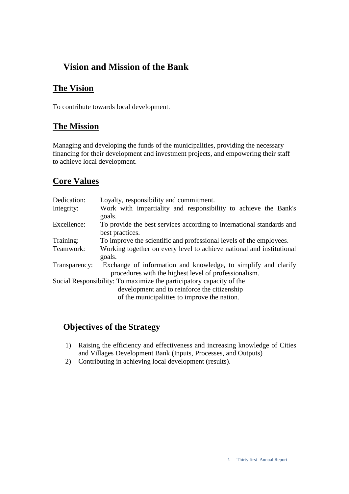### **Vision and Mission of the Bank**

### **The Vision**

To contribute towards local development.

### **The Mission**

Managing and developing the funds of the municipalities, providing the necessary financing for their development and investment projects, and empowering their staff to achieve local development.

### **Core Values**

| Dedication:   | Loyalty, responsibility and commitment.                               |
|---------------|-----------------------------------------------------------------------|
| Integrity:    | Work with impartiality and responsibility to achieve the Bank's       |
|               | goals.                                                                |
| Excellence:   | To provide the best services according to international standards and |
|               | best practices.                                                       |
| Training:     | To improve the scientific and professional levels of the employees.   |
| Teamwork:     | Working together on every level to achieve national and institutional |
|               | goals.                                                                |
| Transparency: | Exchange of information and knowledge, to simplify and clarify        |
|               | procedures with the highest level of professionalism.                 |
|               | Social Responsibility: To maximize the participatory capacity of the  |
|               | development and to reinforce the citizenship                          |
|               | of the municipalities to improve the nation.                          |

### **Objectives of the Strategy**

- 1) Raising the efficiency and effectiveness and increasing knowledge of Cities and Villages Development Bank (Inputs, Processes, and Outputs)
- 2) Contributing in achieving local development (results).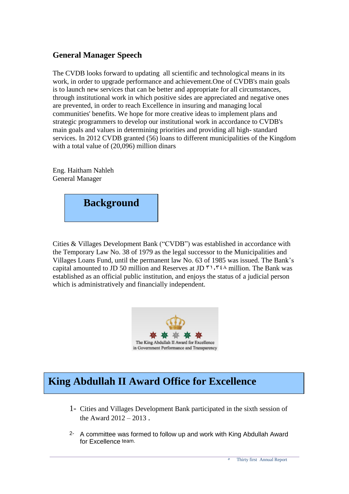#### **General Manager Speech**

The CVDB looks forward to updating all scientific and technological means in its work, in order to upgrade performance and achievement.One of CVDB's main goals is to launch new services that can be better and appropriate for all circumstances, through institutional work in which positive sides are appreciated and negative ones are prevented, in order to reach Excellence in insuring and managing local communities' benefits. We hope for more creative ideas to implement plans and strategic programmers to develop our institutional work in accordance to CVDB's main goals and values in determining priorities and providing all high- standard services. In 2012 CVDB granted (56) loans to different municipalities of the Kingdom with a total value of (20,096) million dinars

Eng. Haitham Nahleh General Manager



Cities & Villages Development Bank ("CVDB") was established in accordance with the Temporary Law No. 38 of 1979 as the legal successor to the Municipalities and Villages Loans Fund, until the permanent law No. 63 of 1985 was issued. The Bank's capital amounted to JD 50 million and Reserves at JD  $\gamma$ ,  $\gamma \in \Lambda$  million. The Bank was established as an official public institution, and enjoys the status of a judicial person which is administratively and financially independent.



# **King Abdullah II Award Office for Excellence**

- 1- Cities and Villages Development Bank participated in the sixth session of the Award  $2012 - 2013$ .
- 2- A committee was formed to follow up and work with King Abdullah Award for Excellence team.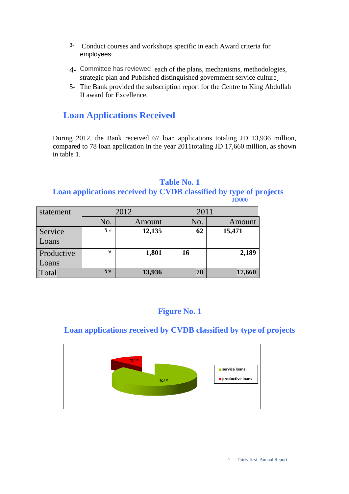- 3- Conduct courses and workshops specific in each Award criteria for employees.
- 4- Committee has reviewed each of the plans, mechanisms, methodologies, strategic plan and Published distinguished government service culture.
- 5- The Bank provided the subscription report for the Centre to King Abdullah II award for Excellence.

### **Loan Applications Received**

During 2012, the Bank received 67 loan applications totaling JD 13,936 million, compared to 78 loan application in the year 2011totaling JD 17,660 million, as shown in table 1.

#### **Table No. 1 Loan applications received by CVDB classified by type of projects JD000**

| statement  |               | 2012   | 2011 |        |  |
|------------|---------------|--------|------|--------|--|
|            | No.<br>Amount |        | No.  | Amount |  |
| Service    | ٦.            | 12,135 | 62   | 15,471 |  |
| Loans      |               |        |      |        |  |
| Productive | v             | 1,801  | 16   | 2,189  |  |
| Loans      |               |        |      |        |  |
| Total      | 7 V           | 13,936 | 78   | 17,660 |  |

### **Figure No. 1**

### **Loan applications received by CVDB classified by type of projects**

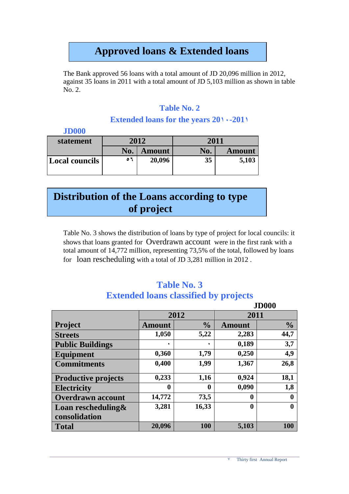# **Approved loans & Extended loans**

The Bank approved 56 loans with a total amount of JD 20,096 million in 2012, against 35 loans in 2011 with a total amount of JD 5,103 million as shown in table No. 2.

### **Table No. 2**

#### Extended loans for the years  $20 \cdot -201$

| <b>JD000</b>          |     |               |      |               |
|-----------------------|-----|---------------|------|---------------|
| statement             |     | 2012          | 2011 |               |
|                       | No. | <b>Amount</b> | No.  | <b>Amount</b> |
| <b>Local councils</b> | ٥٦  | 20,096        | 35   | 5,103         |

# **Distribution of the Loans according to type of project**

Table No. 3 shows the distribution of loans by type of project for local councils: it shows that loans granted for Overdrawn account were in the first rank with a total amount of 14,772 million, representing 73,5% of the total, followed by loans for loan rescheduling with a total of JD 3,281 million in 2012 .

### **Table No. 3 Extended loans classified by projects**

|                                |               |                  |               | <b>JD000</b>  |  |
|--------------------------------|---------------|------------------|---------------|---------------|--|
|                                |               | 2012             | 2011          |               |  |
| <b>Project</b>                 | <b>Amount</b> | $\frac{6}{6}$    | <b>Amount</b> | $\frac{0}{0}$ |  |
| <b>Streets</b>                 | 1,050         | 5,22             | 2,283         | 44,7          |  |
| <b>Public Buildings</b>        | ٠             |                  | 0,189         | 3,7           |  |
| Equipment                      | 0,360         | 1,79             | 0,250         | 4,9           |  |
| <b>Commitments</b>             | 0,400         | 1,99             | 1,367         | 26,8          |  |
| <b>Productive projects</b>     | 0,233         | 1,16             | 0,924         | 18,1          |  |
| <b>Electricity</b>             | 0             | $\boldsymbol{0}$ | 0,090         | 1,8           |  |
| <b>Overdrawn account</b>       | 14,772        | 73,5             | 0             | $\mathbf 0$   |  |
| <b>Loan rescheduling &amp;</b> | 3,281         | 16,33            | $\bf{0}$      | 0             |  |
| consolidation                  |               |                  |               |               |  |
| <b>Total</b>                   | 20,096        | 100              | 5,103         | 100           |  |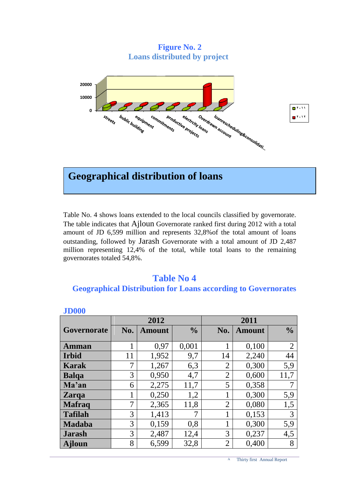**Figure No. 2 Loans distributed by project**



### **Geographical distribution of loans**

Table No. 4 shows loans extended to the local councils classified by governorate. The table indicates that Ajloun Governorate ranked first during 2012 with a total amount of JD 6,599 million and represents 32,8%of the total amount of loans outstanding, followed by Jarash Governorate with a total amount of JD 2,487 million representing 12,4% of the total, while total loans to the remaining governorates totaled 54,8%.

#### **Table No 4 Geographical Distribution for Loans according to Governorates**

| JDVVV          |     |               |               |                |               |                |
|----------------|-----|---------------|---------------|----------------|---------------|----------------|
|                |     | 2012          |               | 2011           |               |                |
| Governorate    | No. | <b>Amount</b> | $\frac{0}{0}$ | No.            | <b>Amount</b> | $\frac{0}{0}$  |
|                |     |               |               |                |               |                |
| <b>Amman</b>   | 1   | 0,97          | 0,001         | 1              | 0,100         | $\overline{2}$ |
| <b>Irbid</b>   | 11  | 1,952         | 9,7           | 14             | 2,240         | 44             |
| Karak          | 7   | 1,267         | 6,3           | $\overline{2}$ | 0,300         | 5,9            |
| <b>Balga</b>   | 3   | 0,950         | 4,7           | $\overline{2}$ | 0,600         | 11,7           |
| Ma'an          | 6   | 2,275         | 11,7          | 5              | 0,358         |                |
| <b>Zarqa</b>   | 1   | 0,250         | 1,2           | 1              | 0,300         | 5,9            |
| <b>Mafraq</b>  | 7   | 2,365         | 11,8          | $\overline{2}$ | 0,080         | 1,5            |
| <b>Tafilah</b> | 3   | 1,413         | 7             | 1              | 0,153         | 3              |
| <b>Madaba</b>  | 3   | 0,159         | 0,8           | 1              | 0,300         | 5,9            |
| <b>Jarash</b>  | 3   | 2,487         | 12,4          | 3              | 0,237         | 4,5            |
| <b>Ajloun</b>  | 8   | 6,599         | 32,8          | $\overline{2}$ | 0,400         | 8              |

#### **JD000**

 $\lambda$  Thirty first Annual Report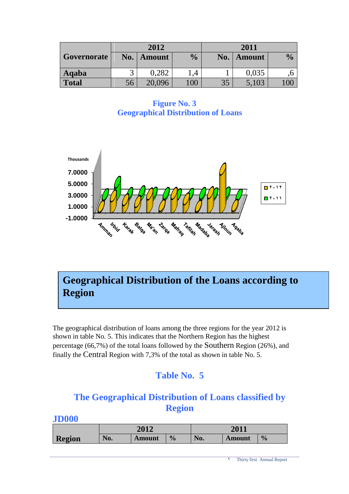|              |     | 2012   |               | 2011 |               |               |
|--------------|-----|--------|---------------|------|---------------|---------------|
| Governorate  | No. | Amount | $\frac{0}{0}$ | No.  | <b>Amount</b> | $\frac{1}{2}$ |
| Aqaba        |     | 0,282  |               |      | 0,035         |               |
| <b>Total</b> | 56  | 20,096 | 00            | 35   | 5,103         |               |

**Figure No. 3 Geographical Distribution of Loans**



# **Geographical Distribution of the Loans according to Region**

The geographical distribution of loans among the three regions for the year 2012 is shown in table No. 5. This indicates that the Northern Region has the highest percentage (66,7%) of the total loans followed by the Southern Region (26%), and finally the Central Region with 7,3% of the total as shown in table No. 5.

### **Table No. 5**

### **The Geographical Distribution of Loans classified by Region**

|               |     | 2012          |               |     | 2011   |               |  |
|---------------|-----|---------------|---------------|-----|--------|---------------|--|
| <b>Region</b> | No. | <b>Amount</b> | $\frac{0}{0}$ | No. | Amount | $\frac{0}{0}$ |  |

#### **JD000**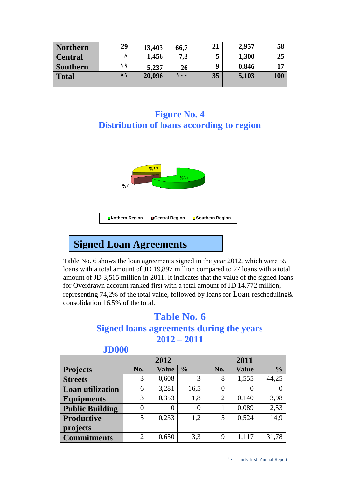| <b>Northern</b> | 29  | 13,403 | 66,7 | 21 | 2,957 | 58  |
|-----------------|-----|--------|------|----|-------|-----|
| <b>Central</b>  |     | 1,456  | 7,3  | ت  | 1,300 | 25  |
| <b>Southern</b> | - 4 | 5,237  | 26   | q  | 0,846 | 17  |
| <b>Total</b>    | ۶۹  | 20,096 | ۰ ۱  | 35 | 5,103 | 100 |

### **Figure No. 4 Distribution of loans according to region**



# **Signed Loan Agreements**

Table No. 6 shows the loan agreements signed in the year 2012, which were 55 loans with a total amount of JD 19,897 million compared to 27 loans with a total amount of JD 3,515 million in 2011. It indicates that the value of the signed loans for Overdrawn account ranked first with a total amount of JD 14,772 million, representing 74,2% of the total value, followed by loans for Loan rescheduling& consolidation 16,5% of the total.

## **Table No. 6**

### **Signed loans agreements during the years 2012 – 2011**

|                         |                | 2012         |                |                | 2011         |               |
|-------------------------|----------------|--------------|----------------|----------------|--------------|---------------|
| <b>Projects</b>         | No.            | <b>Value</b> | $\frac{0}{0}$  | No.            | <b>Value</b> | $\frac{0}{0}$ |
| <b>Streets</b>          | 3              | 0,608        | 3              | 8              | 1,555        | 44,25         |
| <b>Loan utilization</b> | 6              | 3,281        | 16,5           | $\overline{0}$ | $\Omega$     |               |
| <b>Equipments</b>       | 3              | 0,353        | 1,8            | $\overline{2}$ | 0,140        | 3,98          |
| <b>Public Building</b>  | 0              | 0            | $\overline{0}$ |                | 0,089        | 2,53          |
| Productive              | 5              | 0,233        | 1,2            | 5              | 0,524        | 14,9          |
| projects                |                |              |                |                |              |               |
| <b>Commitments</b>      | $\overline{2}$ | 0,650        | 3,3            | 9              | 1,117        | 31,78         |

#### **JD000**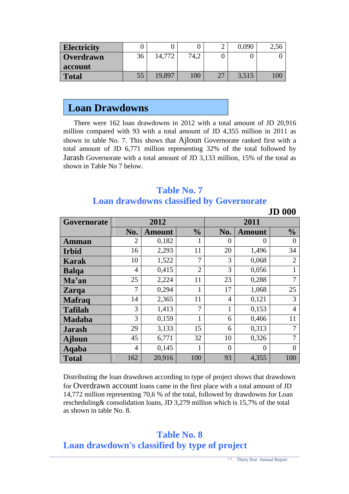| <b>Electricity</b> |    |        |      | 0,090 | ∠.∪∪ |
|--------------------|----|--------|------|-------|------|
| <b>Overdrawn</b>   | 36 | 14,772 | 74,2 |       |      |
| <b>account</b>     |    |        |      |       |      |
| <b>Total</b>       | 55 | 19.897 | 100  | 3,515 | 100  |

### **Loan Drawdowns**

There were 162 loan drawdowns in 2012 with a total amount of JD 20,916 million compared with 93 with a total amount of JD 4,355 million in 2011 as shown in table No. 7. This shows that Ajloun Governorate ranked first with a total amount of JD 6,771 million representing 32% of the total followed by Jarash Governorate with a total amount of JD 3,133 million, 15% of the total as shown in Table No 7 below.

### **Table No. 7 Loan drawdowns classified by Governorate**

|                |      |               |                |                |               | <b>JD 000</b>  |
|----------------|------|---------------|----------------|----------------|---------------|----------------|
| Governorate    | 2012 |               |                |                | 2011          |                |
|                | No.  | <b>Amount</b> | $\frac{0}{0}$  | No.            | <b>Amount</b> | $\frac{0}{0}$  |
| <b>Amman</b>   | 2    | 0,182         | 1              | $\theta$       | $\Omega$      | $\Omega$       |
| <b>Irbid</b>   | 16   | 2,293         | 11             | 20             | 1,496         | 34             |
| <b>Karak</b>   | 10   | 1,522         | 7              | 3              | 0,068         | $\overline{2}$ |
| <b>Balqa</b>   | 4    | 0,415         | $\overline{2}$ | 3              | 0,056         | 1              |
| Ma'an          | 25   | 2,224         | 11             | 23             | 0,288         | $\overline{7}$ |
| <b>Zarga</b>   | 7    | 0,294         | 1              | 17             | 1,068         | 25             |
| <b>Mafraq</b>  | 14   | 2,365         | 11             | 4              | 0,121         | 3              |
| <b>Tafilah</b> | 3    | 1,413         | 7              | 1              | 0,153         | $\overline{4}$ |
| <b>Madaba</b>  | 3    | 0,159         | 1              | 6              | 0,466         | 11             |
| <b>Jarash</b>  | 29   | 3,133         | 15             | 6              | 0,313         | 7              |
| <b>A</b> jloun | 45   | 6,771         | 32             | 10             | 0,326         | 7              |
| <b>Aqaba</b>   | 4    | 0,145         | 1              | $\overline{0}$ | 0             | $\overline{0}$ |
| <b>Total</b>   | 162  | 20,916        | 100            | 93             | 4,355         | 100            |

Distributing the loan drawdown according to type of project shows that drawdown for Overdrawn account loans came in the first place with a total amount of JD 14,772 million representing 70,6 % of the total, followed by drawdowns for Loan rescheduling& consolidation loans, JD 3,279 million which is 15,7% of the total as shown in table No. 8.

### **Table No. 8 Loan drawdown's classified by type of project**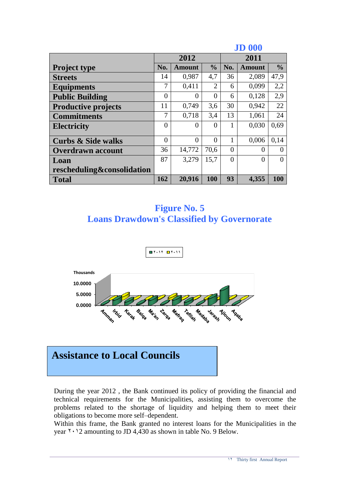|                               |                |               |                |          | <b>JD 000</b> |               |
|-------------------------------|----------------|---------------|----------------|----------|---------------|---------------|
|                               |                | 2012          |                | 2011     |               |               |
| <b>Project type</b>           | No.            | <b>Amount</b> | $\frac{0}{0}$  | No.      | <b>Amount</b> | $\frac{0}{0}$ |
| <b>Streets</b>                | 14             | 0,987         | 4,7            | 36       | 2,089         | 47,9          |
| <b>Equipments</b>             | 7              | 0,411         | $\overline{2}$ | 6        | 0,099         | 2,2           |
| <b>Public Building</b>        | $\overline{0}$ | 0             | $\theta$       | 6        | 0,128         | 2,9           |
| <b>Productive projects</b>    | 11             | 0,749         | 3,6            | 30       | 0,942         | 22            |
| <b>Commitments</b>            | 7              | 0,718         | 3,4            | 13       | 1,061         | 24            |
| <b>Electricity</b>            | $\overline{0}$ | $\theta$      | $\Omega$       | 1        | 0,030         | 0,69          |
| <b>Curbs &amp; Side walks</b> | 0              | $\theta$      | $\theta$       | 1        | 0,006         | 0.14          |
| <b>Overdrawn account</b>      | 36             | 14,772        | 70,6           | $\Omega$ | 0             | $\Omega$      |
| Loan                          | 87             | 3,279         | 15,7           | $\theta$ | 0             | $\theta$      |
| rescheduling&consolidation    |                |               |                |          |               |               |
| <b>Total</b>                  | 162            | 20,916        | <b>100</b>     | 93       | 4,355         | 100           |

### **Figure No. 5 Loans Drawdown's Classified by Governorate**



# **Assistance to Local Councils**

During the year 2012 , the Bank continued its policy of providing the financial and technical requirements for the Municipalities, assisting them to overcome the problems related to the shortage of liquidity and helping them to meet their obligations to become more self–dependent.

Within this frame, the Bank granted no interest loans for the Municipalities in the year  $1 \cdot 2$  amounting to JD 4,430 as shown in table No. 9 Below.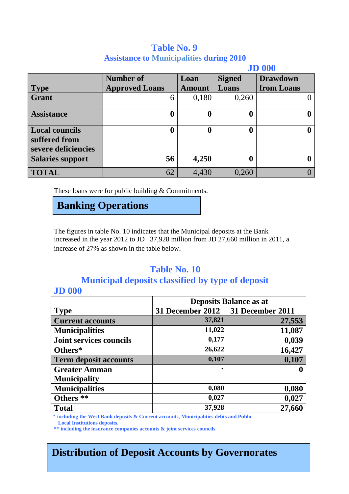### **Table No. 9 Assistance to Municipalities during 2010**

|                         |                       |               |               | <b>JD 000</b>   |
|-------------------------|-----------------------|---------------|---------------|-----------------|
|                         | <b>Number of</b>      | Loan          | <b>Signed</b> | <b>Drawdown</b> |
| <b>Type</b>             | <b>Approved Loans</b> | <b>Amount</b> | Loans         | from Loans      |
| <b>Grant</b>            | 6                     | 0,180         | 0,260         |                 |
|                         |                       |               |               |                 |
| <b>Assistance</b>       |                       |               | 0             |                 |
|                         |                       |               |               |                 |
| <b>Local councils</b>   |                       |               | 0             |                 |
| suffered from           |                       |               |               |                 |
| severe deficiencies     |                       |               |               |                 |
| <b>Salaries support</b> | 56                    | 4,250         | 0             |                 |
| <b>TOTAL</b>            | 62                    | 4,430         | 0,260         |                 |
|                         |                       |               |               |                 |

These loans were for public building & Commitments.

## **Banking Operations**

The figures in table No. 10 indicates that the Municipal deposits at the Bank increased in the year 2012 to JD 37,928 million from JD 27,660 million in 2011, a increase of 27% as shown in the table below.

### **Table No. 10**

### **Municipal deposits classified by type of deposit**

### **JD 000**

|                                | <b>Deposits Balance as at</b> |                  |  |  |
|--------------------------------|-------------------------------|------------------|--|--|
| <b>Type</b>                    | 31 December 2012              | 31 December 2011 |  |  |
| <b>Current accounts</b>        | 37,821                        | 27,553           |  |  |
| <b>Municipalities</b>          | 11,022                        | 11,087           |  |  |
| <b>Joint services councils</b> | 0,177                         | 0,039            |  |  |
| Others*                        | 26,622                        | 16,427           |  |  |
| <b>Term deposit accounts</b>   | 0,107                         | 0,107            |  |  |
| <b>Greater Amman</b>           | ٠                             |                  |  |  |
| <b>Municipality</b>            |                               |                  |  |  |
| <b>Municipalities</b>          | 0,080                         | 0,080            |  |  |
| Others **                      | 0,027                         | 0,027            |  |  |
| <b>Total</b>                   | 37,928                        | 27,660           |  |  |

\* **including the West Bank deposits & Current accounts, Municipalities debts and Public Local Institutions deposits.**

**\*\* including the insurance companies accounts & joint services councils.**

## **Distribution of Deposit Accounts by Governorates**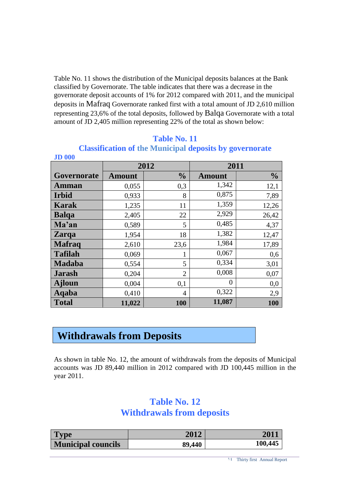Table No. 11 shows the distribution of the Municipal deposits balances at the Bank classified by Governorate. The table indicates that there was a decrease in the governorate deposit accounts of 1% for 2012 compared with 2011, and the municipal deposits in Mafraq Governorate ranked first with a total amount of JD 2,610 million representing 23,6% of the total deposits, followed by Balqa Governorate with a total amount of JD 2,405 million representing 22% of the total as shown below:

| <b>JD 000</b>  |               |                | $\bullet$      |               |
|----------------|---------------|----------------|----------------|---------------|
|                |               | 2012           | 2011           |               |
| Governorate    | <b>Amount</b> | $\frac{0}{0}$  | <b>Amount</b>  | $\frac{0}{0}$ |
| <b>Amman</b>   | 0,055         | 0,3            | 1,342          | 12,1          |
| <b>Irbid</b>   | 0,933         | 8              | 0,875          | 7,89          |
| <b>Karak</b>   | 1,235         | 11             | 1,359          | 12,26         |
| <b>Balqa</b>   | 2,405         | 22             | 2,929          | 26,42         |
| Ma'an          | 0,589         | 5              | 0,485          | 4,37          |
| <b>Zarqa</b>   | 1,954         | 18             | 1,382          | 12,47         |
| <b>Mafraq</b>  | 2,610         | 23,6           | 1,984          | 17,89         |
| <b>Tafilah</b> | 0,069         | 1              | 0,067          | 0,6           |
| <b>Madaba</b>  | 0,554         | 5              | 0,334          | 3,01          |
| <b>Jarash</b>  | 0,204         | $\overline{2}$ | 0,008          | 0,07          |
| <b>Ajloun</b>  | 0,004         | 0,1            | $\overline{0}$ | 0,0           |
| Aqaba          | 0,410         | $\overline{4}$ | 0,322          | 2,9           |
| <b>Total</b>   | 11,022        | 100            | 11,087         | 100           |

#### **Table No. 11**

### **Classification of the Municipal deposits by governorate**

### **Withdrawals from Deposits**

As shown in table No. 12, the amount of withdrawals from the deposits of Municipal accounts was JD 89,440 million in 2012 compared with JD 100,445 million in the year 2011.

### **Table No. 12 Withdrawals from deposits**

| 'vpe                      | 2012   | 201'    |
|---------------------------|--------|---------|
| <b>Municipal councils</b> | 89,440 | 100,445 |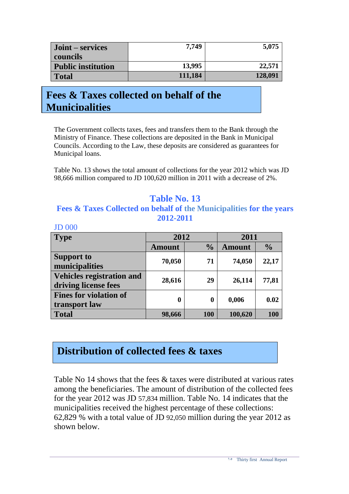| Joint – services          | 7.749   | 5,075   |
|---------------------------|---------|---------|
| councils                  |         |         |
| <b>Public institution</b> | 13,995  | 22,571  |
| Total                     | 111,184 | 128,091 |

# **Fees & Taxes collected on behalf of the Municipalities**

The Government collects taxes, fees and transfers them to the Bank through the Ministry of Finance. These collections are deposited in the Bank in Municipal Councils. According to the Law, these deposits are considered as guarantees for Municipal loans.

Table No. 13 shows the total amount of collections for the year 2012 which was JD 98,666 million compared to JD 100,620 million in 2011 with a decrease of 2%.

### **Table No. 13 Fees & Taxes Collected on behalf of the Municipalities for the years 2012-2011**

| <b>Type</b>                                              | 2012             |               | 2011          |               |  |
|----------------------------------------------------------|------------------|---------------|---------------|---------------|--|
|                                                          | <b>Amount</b>    | $\frac{0}{0}$ | <b>Amount</b> | $\frac{0}{0}$ |  |
| <b>Support to</b><br>municipalities                      | 70,050           | 71            | 74,050        | 22,17         |  |
| <b>Vehicles registration and</b><br>driving license fees | 28,616           | 29            | 26,114        | 77,81         |  |
| <b>Fines for violation of</b><br>transport law           | $\boldsymbol{0}$ | 0             | 0,006         | 0.02          |  |
| <b>Total</b>                                             | 98,666           | 100           | 100,620       | 100           |  |

### JD 000

## **Distribution of collected fees & taxes**

Table No 14 shows that the fees & taxes were distributed at various rates among the beneficiaries. The amount of distribution of the collected fees for the year 2012 was JD 57,834 million. Table No. 14 indicates that the municipalities received the highest percentage of these collections: 62,829 % with a total value of JD 92,050 million during the year 2012 as shown below.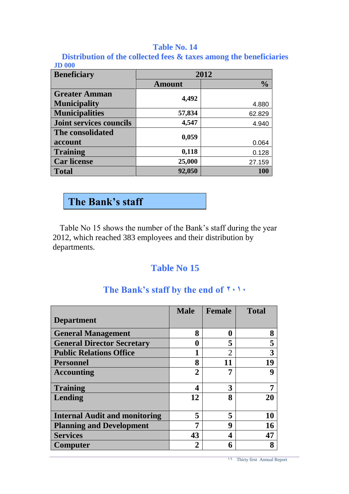#### **Table No. 14**

**Distribution of the collected fees & taxes among the beneficiaries JD 000**

| <b>Beneficiary</b>             | 2012          |               |  |  |  |
|--------------------------------|---------------|---------------|--|--|--|
|                                | <b>Amount</b> | $\frac{0}{0}$ |  |  |  |
| <b>Greater Amman</b>           | 4,492         |               |  |  |  |
| <b>Municipality</b>            |               | 4.880         |  |  |  |
| <b>Municipalities</b>          | 57,834        | 62.829        |  |  |  |
| <b>Joint services councils</b> | 4,547         | 4.940         |  |  |  |
| The consolidated               | 0,059         |               |  |  |  |
| account                        |               | 0.064         |  |  |  |
| <b>Training</b>                | 0,118         | 0.128         |  |  |  |
| <b>Car license</b>             | 25,000        | 27.159        |  |  |  |
| <b>Total</b>                   | 92,050        | 100           |  |  |  |

## **The Bank's staff**

Table No 15 shows the number of the Bank's staff during the year 2012, which reached 383 employees and their distribution by departments.

### **Table No 15**

|                                      | <b>Male</b>    | <b>Female</b> | <b>Total</b> |
|--------------------------------------|----------------|---------------|--------------|
| <b>Department</b>                    |                |               |              |
| <b>General Management</b>            | 8              | O             |              |
| <b>General Director Secretary</b>    | 0              | 5             | 5            |
| <b>Public Relations Office</b>       |                | 2             |              |
| <b>Personnel</b>                     | 8              | 11            | 19           |
| <b>Accounting</b>                    | $\overline{2}$ | 7             | Q            |
| <b>Training</b>                      | 4              | 3             |              |
| Lending                              | 12             | 8             | 20           |
| <b>Internal Audit and monitoring</b> | 5              | 5             | 10           |
| <b>Planning and Development</b>      | 7              | q             | 16           |
| <b>Services</b>                      | 43             |               | 47           |
| Computer                             | 2              | 6             |              |

### The Bank's staff by the end of  $\mathbf{Y} \cdot \mathbf{Y}$ .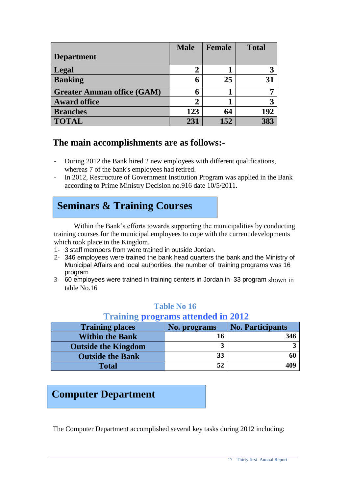|                                   | <b>Male</b> | <b>Female</b> | <b>Total</b> |
|-----------------------------------|-------------|---------------|--------------|
| <b>Department</b>                 |             |               |              |
| Legal                             | 2           |               |              |
| <b>Banking</b>                    | 6           | 25            | 31           |
| <b>Greater Amman office (GAM)</b> | 6           |               | 7            |
| <b>Award office</b>               | 2           |               | 3            |
| <b>Branches</b>                   | 123         | 64            | 192          |
| <b>TOTAL</b>                      | 231         | 152           |              |

### **The main accomplishments are as follows:-**

- During 2012 the Bank hired 2 new employees with different qualifications, whereas 7 of the bank's employees had retired.
- In 2012, Restructure of Government Institution Program was applied in the Bank according to Prime Ministry Decision no.916 date 10/5/2011.

# **Seminars & Training Courses**

Within the Bank's efforts towards supporting the municipalities by conducting training courses for the municipal employees to cope with the current developments which took place in the Kingdom.

- 1- 3 staff members from were trained in outside Jordan.
- 2- 346 employees were trained the bank head quarters the bank and the Ministry of Municipal Affairs and local authorities. the number of training programs was 16 program
- 3- 60 employees were trained in training centers in Jordan in 33 program shown in table No.16

#### **Table No 16**

#### **Training programs attended in 2012**

| <b>Training places</b>     | No. programs | <b>No. Participants</b> |
|----------------------------|--------------|-------------------------|
| <b>Within the Bank</b>     |              | 346                     |
| <b>Outside the Kingdom</b> |              |                         |
| <b>Outside the Bank</b>    | 33           | 60                      |
| <b>Total</b>               |              | 409                     |

### **Computer Department**

The Computer Department accomplished several key tasks during 2012 including: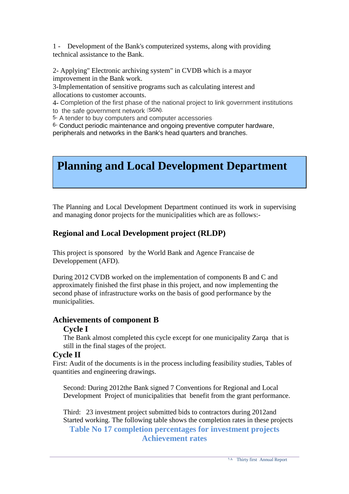1 - Development of the Bank's computerized systems, along with providing technical assistance to the Bank.

2- Applying" Electronic archiving system" in CVDB which is a mayor improvement in the Bank work.

3-Implementation of sensitive programs such as calculating interest and allocations to customer accounts.

4- Completion of the first phase of the national project to link government institutions to the safe government network (SGN).

5- A tender to buy computers and computer accessories.

6- Conduct periodic maintenance and ongoing preventive computer hardware, peripherals and networks in the Bank's head quarters and branches.

# **Planning and Local Development Department**

The Planning and Local Development Department continued its work in supervising and managing donor projects for the municipalities which are as follows:-

### **Regional and Local Development project (RLDP)**

This project is sponsored by the World Bank and Agence Francaise de Developpement (AFD).

During 2012 CVDB worked on the implementation of components B and C and approximately finished the first phase in this project, and now implementing the second phase of infrastructure works on the basis of good performance by the municipalities.

#### **Achievements of component B**

#### **Cycle I**

The Bank almost completed this cycle except for one municipality Zarqa that is still in the final stages of the project.

#### **Cycle II**

First: Audit of the documents is in the process including feasibility studies, Tables of quantities and engineering drawings.

Second: During 2012the Bank signed 7 Conventions for Regional and Local Development Project of municipalities that benefit from the grant performance.

Third: 23 investment project submitted bids to contractors during 2012and Started working. The following table shows the completion rates in these projects **Table No 17 completion percentages for investment projects Achievement rates**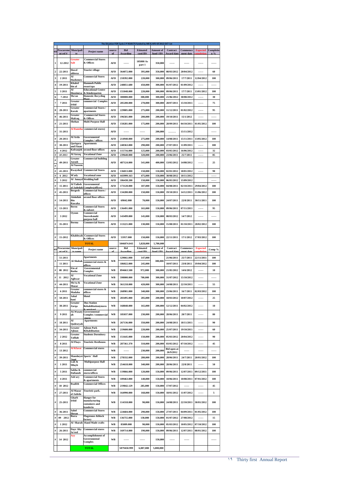|           |                    |                              |                                                          |            |                          | The Situation FOR Cycle 2 P ROJECTS funded by WB & AFD till 2012-OCT-1st |                    |                                 |                          |                 |           |
|-----------|--------------------|------------------------------|----------------------------------------------------------|------------|--------------------------|--------------------------------------------------------------------------|--------------------|---------------------------------|--------------------------|-----------------|-----------|
| ÑΪ        | Procureme          | Muncipali                    | Project name                                             | source     | <b>Bid</b>               | <b>Etimated</b>                                                          | Amount of          | Contract                        | Commence                 | <b>Expected</b> | Completio |
|           | nt ref #           |                              |                                                          | of         | <b>Awarding</b>          | cost(JD)                                                                 | fund (JD)          | <b>Award date</b>               | ment date                |                 |           |
| 1         | 12-2012            | Greater<br>Salt              | <b>Commercial Stores</b><br>& Offices                    | AFD        |                          | 105000 As<br>part 1                                                      | 350,000            | ------                          |                          |                 |           |
| 2         | 22-2011            | Hawd<br>aldeesa              | <b>Tourist village</b>                                   | AFD        | 364072.000               | 395,000                                                                  | 350,000            | 08/03/2012                      | 20/04/2012               |                 | 60        |
| 3         | 2 2 0 1 1          | Al                           | <b>Commercial Stores</b>                                 | AFD        | 218392.000               | 220,000                                                                  | 300,000            | 09/06/2011                      | 17/7/2011                | 12/04/2012      | 100       |
|           |                    | <b>Hashemey</b><br>Khaled    | <b>Hammeh Public</b>                                     |            |                          |                                                                          |                    |                                 |                          |                 |           |
|           | 19-2011            | bin al<br>Al                 | resort/spa<br><b>Educational Centre</b>                  | AFD        | 248851.680               | 450,000                                                                  | 300,000            | 01/07/2012                      | 01/09/2012               |                 |           |
| 5         | 3 2011             | Hoseineva                    | & Kindergarten                                           | AFD        | 155048,000               | 220,000                                                                  | 300,000            | 09/06/2011                      | 17/7/2011                | 13/01/2012      | 100       |
| 6         | 7-2012             | Ma'an<br>Greater             | <b>Domestic Recycling</b><br>Plant<br>commercial Complex | AFD        | 300000,000               | 300,000                                                                  | 300,000            | 21/06/2012                      | 30/08/2012               |                 | 30        |
| 7         | 7 2011             | Irbid                        |                                                          | AFD        | 285200.000               | 270,000                                                                  | 300,000            | 28/07/2011                      | 15/10/2011               |                 | 75        |
| 8         | 28-2011            | Greater<br>Karak             | <b>Commercial Stores /</b><br>apartments                 | AFD        | 229805.000               | 275,000                                                                  | 200,000            | 11/12/2011                      | 01/02/2012               |                 | 95        |
| 9         | 46-2011            | Greater<br>Mafrag            | <b>Commercial Stores</b><br>& Offices                    | AFD        | 196581.000               | 200,000                                                                  | 200,000            | 19/10/2011                      | 15/1/2012                |                 |           |
| #         | 21-2011            | Shehan                       | <b>Multi Purpose Hall</b>                                | AFD        | 150281.000               | 175.000                                                                  | 200.000            | 28/09/2011                      | 04/10/2011               | 01/05/2012      | 100       |
| #         | 31-2011            | <b>Al Ramtha</b>             | commercial stores)                                       | AFD        |                          |                                                                          | 200,000            |                                 | 15/11/2012               |                 |           |
| #         | 20-2011            | Al Arda                      | Governmental                                             | AFD        | 214940.000               | 275,000                                                                  | 200,000            | 14/08/2011                      | 15/11/2011               | 13/05/2012      | 100       |
| Ħ         |                    | Qariqara                     | <b>Complex / office</b><br><b>Apartments</b>             |            | 248363.000               |                                                                          |                    |                                 | 11/09/2011               |                 | 100       |
| #         | 30-2011<br>4 2012  | and Finan<br>Kofranjeh       | second floor offices                                     | AFD<br>AFD | 115716.000               | 290,000<br>125,000                                                       | 200,000<br>200,000 | 27/07/2011<br>03/05/2012        | 16/06/2012               |                 | 32        |
| #         | 10 2011            | Al Azrag                     | <b>Vocational Zone</b>                                   | AFD        | 239640.000               | 320,000                                                                  | 200,000            | 23/06/2011                      | 25/7/2011                | ------          | 85        |
| #         |                    | Greater                      | <b>Commercial building</b>                               |            |                          |                                                                          |                    |                                 |                          |                 |           |
| #         | 49-2011            | Jarash<br><b>Al Naseem</b>   | <b>Commercial Stores</b>                                 | AFD        | 487124.000               | 541,000                                                                  | 400,000            | 13/05/2012                      | 14/08/2012               |                 | 25        |
| $\#$<br># | 41-2011<br>6 2012  | Rwayshed<br>M'ady            | <b>Vocational zone</b>                                   | AFD<br>AFD | 136013.000<br>443999.163 | 150,000<br>475,000                                                       | 150,000<br>150,000 | 02/01/2012<br>30/08/2012        | 18/01/2012<br>10/11/2012 | ------          | 90        |
| #         | 5 20 12            | Al Junayd                    | <b>Wedding hall</b>                                      | AFD        | 186438.200               | 150,000                                                                  | 150,000            | 06/05/2012                      | 15/09/2012               |                 | ------    |
| #         | 15 2011            | Al Taibeh                    | Governmental                                             | AFD        | 173120.000               | 187,000                                                                  | 150,000            | 04/08/2011                      | 02/10/2011               | 29/04/2012      | 100       |
| #         | 45-2011            | al Jadedah<br><b>Bergesh</b> | <b>Complex</b> (offices<br><b>Commercial Stores /</b>    | AFD        | 134280.000               | 150,000                                                                  | 150,000            | 19/10/2011                      | 14/12/2011               | 11/06/2012      | 100       |
| #         | 14-2011            | Abdullah<br>Bin              | offices<br>second floor offices                          | AFD        | 69842.000                | 70,000                                                                   | 150,000            | 24/07/2011                      | 22/8/2011                | 30/11/2011      | 100       |
| #         | 13-2011            | Rawaha<br>Beren              | <b>Commercial Stores</b>                                 | AFD        | 136491.000               | 165.000                                                                  | 150,000            | 09/06/2011                      | 07/11/2011               |                 | 95        |
| #         | 3 2012             | Ovoun                        | & culvert<br>Commercial<br>Stores&multi                  | AFD        | 143499.000               | 145,000                                                                  | 150,000            | 08/03/2012                      | 14/7/2012                |                 |           |
|           | 35-2011            | Borma                        | purpose hall<br><b>Commercial Stores</b>                 | AFD        | 113221.000               | 130,000                                                                  | 150,000            | 15/08/2011                      | 01/10/2011               | 28/02/2012      | 100       |
|           |                    |                              |                                                          |            |                          |                                                                          |                    |                                 |                          |                 |           |
|           | 15-2012            | Khaldeyah                    | <b>Commercial Stores</b>                                 | AFD        | 55957,000                | 150,000                                                                  | 150,000            | 22/11/2011                      | 17/1/2012                | 17/03/2012      | 100       |
|           |                    |                              | & Offices<br><b>TOTAL</b>                                |            | 5046874.043              | 5,828,000                                                                | 5,700,000          |                                 |                          |                 |           |
| Ň         | Procureme          | Muncipali                    | Project name                                             | source     | Bid                      | <b>Etimated</b>                                                          | Amount of          | Contract                        | Commence                 | <b>Expected</b> | Comp %    |
|           | nt ref f           | ty nom                       |                                                          | ۵f         | wardine                  | ost(ID)                                                                  | fund (ID)          | ward dat                        | ment date                |                 |           |
| #         | 51-2011            | Al Shobak                    | <b>Apartments</b>                                        | WB         | 129061.000               | 147,000                                                                  | 300,000            | 21/06/2011                      | 25/7/2011                | 22/11/2011      | 100       |
|           | 11 2011            |                              | commercial stores &<br>əffic                             |            | 186022.000               | 245,000                                                                  |                    | 10/07/2011                      | 23/8/2011                | 19/04/2012      | 100       |
| #         | 08 2012            | Ein al<br>Basha              | Governmental                                             |            |                          |                                                                          |                    | 21/05/2012                      | 14/6/2012                |                 | 10        |
|           |                    |                              | <b>Complex</b>                                           | WB         | 894663.500               | 972,000                                                                  | 300,000            |                                 |                          |                 |           |
| #         | 11 2012            | Al<br>Aghwar                 | <b>Vocational Zone</b>                                   | WB         | 598000.000               | 700,000                                                                  | 300,000            | 31/07/2012                      | 15/10/2012               |                 |           |
| #         | 44-2011            | Mo'ta &<br>Mazar             | <b>Vocational Zone</b>                                   | WB         | 361218.000               | 420,000                                                                  | 300,000            | 24/08/2011                      | 22/10/2011               |                 | 55        |
| #         | 6 2011             | Greater                      | commercial stores &                                      | WB         | 268981.000               | 340,000                                                                  | 300,000            | 23/06/2011                      | 16/7/2011                | 02/03/2012      | 100       |
| #         |                    | Madaba<br>Jabal              | offices<br>Motel                                         |            |                          | 285,000                                                                  |                    | 18/03/2012                      |                          |                 |           |
| #         | 50-2011<br>38-2011 | bani<br>Greater<br>Zarqa     | <b>Bus Station</b><br><b>Rehabilitation</b> (stores      | WB<br>WВ   | 283495.000<br>168848.000 | 165,000                                                                  | 200,000<br>200,000 | 12/12/2011                      | 10/07/2012<br>04/02/2012 | ------          | 25<br>10  |
| #         | 9 2011             | ah                           | <b>ALWasaty Governmental</b>                             | WB         | 185037.000               | 230,000                                                                  | 200,000            | 28/06/2011                      | 20/7/2011                |                 | 80        |
| $\#$      | 18 2011            | Al                           | <b>Complex /commercial</b><br>store<br><b>Apartments</b> | WB         | 267136.000               | 350,000                                                                  | 200,000            | 24/08/2011                      | 18/11/2011               | 1.1.1.1         | 90        |
| $\#$      | 34-2011            | Qadeseyah<br>Greater         | <b>Ajloun Park</b>                                       | WB         | 219600.000               | 220,000                                                                  | 200.000            | 25/07/2011                      | 19/10/2011               |                 | 60        |
| $\#$      | 2 2 0 1 2          | Ajloun<br>Greater            | <b>Rehabilitation</b><br><b>Students Dormitory</b>       | WB         | 151645.000               | 150.000                                                                  | 200,000            | 05/03/2012                      | 20/04/2012               | 1.1.1.1         | 90        |
|           |                    | Tafilah<br>Al Fhays          | <b>Touristic Resthouse.</b>                              |            |                          |                                                                          | 200,000            |                                 | 07/10/2012               | 1.1.1.1         |           |
| $\#$      | 8 2011             | Al Kfarat                    | <b>Commercial stores</b>                                 | WB         | 287361.370               | 310,000                                                                  |                    | 03/05/2012                      |                          |                 | 45        |
| $\#$      | 13 20 12           |                              |                                                          | <b>WB</b>  |                          | 230,000                                                                  | 200,000            | <b>Bid open at</b><br>26/9/2012 |                          | $-$             |           |
| $\#$      | 39-2011            | hani                         | Mansheyet Sports' Hall                                   | WВ         | 278332.000               | 280,000                                                                  | 200,000            | 28/06/2011                      | 24/7/2011                | 20/01/2012      | 100       |
| #         | 1 2011             | Lub &<br>Mlayh               | <b>Multipurpose Hall</b>                                 | WB         | 254618.000               | 340,000                                                                  | 200,000            | 28/06/2011                      | 22/8/2011                |                 | 50        |
| $\#$      | 5 2011             | Sabha &<br>Dafianeh          | commercial<br>stores/offices                             | WB         | 119866.000               | 120,000                                                                  | 150,000            | 09/06/2011                      | 12/07/2011               | 09/12/2011      | 100       |
| $\#$      | 4 2011             | Ash'ary                      | <b>Commercial Stores</b>                                 | WB         | 109463.000               | 140,000                                                                  | 150,000            | 10/06/2011                      | 10/08/2011               | 07/01/2012      | 100       |
| $\#$      | 10 2012            | Rsaifeh                      | & apartments<br><b>Commercial Offices</b>                | WB         | 219842.129               | 285,000                                                                  | 150,000            | 17/07/2012                      |                          |                 | 45        |
| #         | 27-2011            | Al Mazar<br>al Jadeda        | Touristic park.                                          | WB         | 164990.000               | 168,000                                                                  | 150,000            | 18/01/2012                      | 11/07/2012               |                 | 5         |
| #         | 25-2011            | Gharb<br>Irbid               | <b>Hanger</b> for<br>manufacturing                       | WB         | 114318.000               | 90,000                                                                   | 150,000            | 24/08/2011                      | 22/10/2011               | 30/01/2012      | 100       |
| $\#$      | 36-2011            | Sahel                        | containers and<br>kanderin<br><b>Commercial Stores</b>   | <b>WB</b>  | 224684.000               | 290,000                                                                  | 150,000            | 27/07/2011                      | 04/09/2011               | 01/05/2012      | 100       |
|           |                    | Horan<br><b>Bsera</b>        | <b>Flagstones █</b>                                      |            |                          |                                                                          |                    |                                 |                          |                 |           |
| $\#$      | 09 2012            | Al Sharah                    | factory<br><b>Hand Made crafts</b>                       | <b>WB</b>  | 136755.000               | 130,000                                                                  | 150,000            | 01/07/2012                      | 27/08/2012               |                 | 15        |
| $\#$      | 1 2012             |                              |                                                          | WB         | 85809.000                | 90,000                                                                   | 150,000            | 05/03/2012                      | 10/05/2012               | 07/10/2012      | 100       |
| #         | 26-2011            | Dayr Aby<br>Sa'eed<br>Ayy    | <b>Commercial stores</b><br><b>Accomplishment of</b>     | <b>WB</b>  | 169714.000               | 190,000                                                                  | 150,000            | 09/06/2011                      | 12/07/2011               | 08/01/2012      | 100       |
| #         | 14 2012            |                              | Governmental<br>Complex                                  | WB         |                          |                                                                          | 150,000            |                                 |                          |                 |           |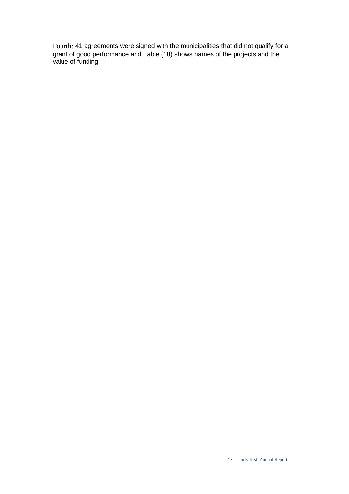Fourth: 41 agreements were signed with the municipalities that did not qualify for a grant of good performance and Table (18) shows names of the projects and the value of funding.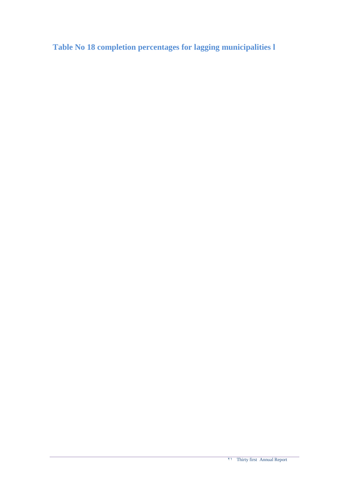**Table No 18 completion percentages for lagging municipalities l**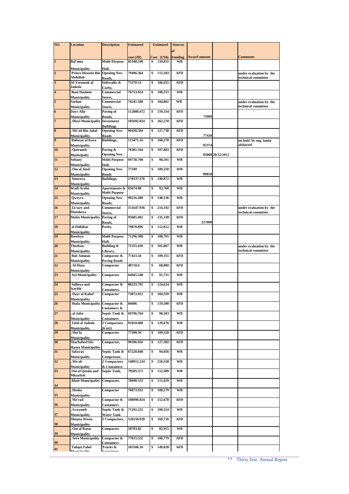| NO.                     | <b>Location</b>                                      | <b>Description</b>                 | <b>Estimated</b> | <b>Estimated</b> | <b>Sources</b> |                     |                  |                                                |
|-------------------------|------------------------------------------------------|------------------------------------|------------------|------------------|----------------|---------------------|------------------|------------------------------------------------|
|                         |                                                      |                                    |                  |                  | of             |                     |                  |                                                |
|                         |                                                      |                                    | cost (JD)        | Cost (US\$)      | <b>Funding</b> | <b>Award amount</b> |                  | <b>Comments</b>                                |
| $\mathbf{1}$            | Bal'ama                                              | <b>Multi Purpose</b>               | 85548.348        | 120,831<br>\$    | WB             |                     |                  |                                                |
| $\overline{2}$          | Municipality<br><b>Prince Hussein Bin</b>            | Hall,<br><b>Opening New</b>        | 79496.364        | 112,283<br>\$    | AFD            |                     |                  | under evaluation by the                        |
|                         | Abdullah                                             | Roads,                             |                  |                  |                |                     |                  | technical committee                            |
| 3                       | Al-Yarmouk al<br>Jadeda                              | Sidewalks &<br>Curbs,              | 75370.14         | \$<br>106,455    | AFD            |                     |                  |                                                |
| $\overline{\mathbf{4}}$ | <b>Bani Hashem</b>                                   | Commercial                         | 76713.924        | \$<br>108,353    | WB             |                     |                  |                                                |
|                         | Municipality                                         | Stores,                            |                  |                  |                |                     |                  |                                                |
| 5                       | Sarhan<br>Municipality                               | Commercial<br>Stores,              | 74241.588        | 104,861<br>\$    | WB             |                     |                  | under evaluation by the<br>technical committee |
| 6                       | Dayr Alla                                            | Paving of                          | 112808.472       | \$<br>159,334    | AFD            |                     |                  |                                                |
| $\overline{7}$          | Municipality<br><b>Dlayl Municipality Investment</b> | Roads,                             | 185692.824       | \$<br>262,278    | AFD            | 73900               |                  |                                                |
|                         |                                                      | <b>Buildings</b>                   |                  |                  |                |                     |                  |                                                |
| 8                       | Mo'ad Bin Jabal                                      | <b>Opening New</b>                 | 90438.504        | 127,738<br>\$    | AFD            |                     |                  |                                                |
| 9                       | Municipality<br>Rabeyat al Kora                      | Roads<br>Buildings,                | 113471.16        | 160,270<br>\$    | <b>AFD</b>     | 77420               |                  | on hold by eng. lamia                          |
|                         | Municipality                                         |                                    |                  |                  |                | 82374               |                  | alshareef                                      |
| 10                      | Qatraneh<br>Municipalty                              | Paving &<br><b>Opening New</b>     | 76381.164        | 107,883<br>\$    | <b>AFD</b>     |                     | 85800 20/12/2012 |                                                |
| 11                      | Soltany                                              | <b>Multi Purpose</b>               | 69738.708        | \$<br>98,501     | WB             |                     |                  |                                                |
|                         | Municipality                                         | Hall,                              |                  |                  | <b>WB</b>      |                     |                  |                                                |
| 12                      | Om al Jmal<br>Municipality                           | <b>Opening New</b><br>Roads        | 77349            | \$<br>109,250    |                | 89850               |                  |                                                |
| 13                      | Amereya                                              | <b>Buildings,</b>                  | 170537.376       | \$<br>240,872    | WB             |                     |                  |                                                |
| 14                      | Municipality<br>Wadi Araba                           | Apartements &                      | 65674.08         | \$<br>92,760     | WB             |                     |                  |                                                |
|                         | Municipality                                         | <b>Multi Purpose</b>               |                  |                  |                |                     |                  |                                                |
| 15                      | Qweyra                                               | <b>Opening New</b>                 | 99216.288        | \$<br>140,136    | WB             |                     |                  |                                                |
| 16                      | Municipality<br>Za'tary and                          | Roads,<br>Commercial               | 151647.936       | 214,192<br>\$    | <b>AFD</b>     |                     |                  | under evaluation by the                        |
|                         | Mansheya                                             | Stores,                            |                  |                  |                |                     |                  | technical committee                            |
| 17                      | <b>Mahis Municipality</b>                            | Paving of<br>Roads,                | 95685.492        | 135,149<br>\$    | <b>AFD</b>     | 227000              |                  |                                                |
| 18                      | al Hallabat                                          | Parks,                             | 79870.896        | \$<br>112,812    | <b>WB</b>      |                     |                  |                                                |
| 19                      | Municipality                                         | <b>Multi Purpose</b>               | 71296.308        | \$<br>100,701    | WB             |                     |                  |                                                |
|                         | Baseleya<br>Municipality                             | Hall,                              |                  |                  |                |                     |                  |                                                |
| 20                      | Theeban                                              | Building $\overline{\mathcal{X}}$  | 71555.436        | 101,067<br>\$    | WB             |                     |                  | under evaluation by the                        |
| 21                      | Municipality<br><b>Bab Amman</b>                     | Library,<br>Compactor &            | 77423.34         | 109,355<br>\$    | AFD            |                     |                  | technical committee                            |
|                         | Municipality                                         | <b>Paving Roads</b>                |                  |                  |                |                     |                  |                                                |
| 22                      | Al-Hasa<br>Municipality                              | Compactor                          | 48710.4          | \$<br>68,800     | AFD            |                     |                  |                                                |
| 23                      | <b>Ayl Municipality</b>                              | Compactor                          | 64945.548        | 91,731<br>\$     | WB             |                     |                  |                                                |
|                         |                                                      |                                    | 88233.792        |                  |                |                     |                  |                                                |
| 24                      | Salheya and<br>Navfeh                                | Compactor &<br>Containers,         |                  | 124,624<br>\$    | WB             |                     |                  |                                                |
| 25                      | Dayr al Kahef                                        | Compactor                          | 73872.012        | 104,339<br>\$    | WB             |                     |                  |                                                |
| 26                      | Municipality<br>Shafa Municipality Compactor &       |                                    | 84606            | \$<br>119,500    | AFD            |                     |                  |                                                |
|                         |                                                      | <b>Containers &amp;</b>            |                  |                  |                |                     |                  |                                                |
| 27                      | al Jafer                                             | Septic Tank &<br><b>Containers</b> | 69796.764        | \$<br>98,583     | WB             |                     |                  |                                                |
| 28                      | Municipality<br>Talal al Jadeda                      | 2 Compactors                       | 91810.608        | \$<br>129,676    | WB             |                     |                  |                                                |
|                         | Municipality                                         | (6 m3)                             |                  |                  |                |                     |                  |                                                |
| 29                      | Sho'la<br>Municipality                               | Compactor                          | 77398.56         | 109,320<br>\$    | AFD            |                     |                  |                                                |
| 30                      | Sharhabeel bin                                       | Compactor,                         | 90186.456        | 127,382<br>\$    | <b>AFD</b>     |                     |                  |                                                |
| 31                      | <b>Hasna Municipality</b><br>Safaway                 | Septic Tank &                      | 67228.848        | \$<br>94,956     | WB             |                     |                  |                                                |
|                         | Municipality                                         | Compressor,                        |                  |                  |                |                     |                  |                                                |
| 32                      | Mo'ab                                                | 2 Compactors                       | 148912.224       | \$<br>210,328    | WB             |                     |                  |                                                |
| 33                      | Municipality<br>Om al Qotain and                     | & Containers<br>Septic Tank,       | 79585.572        | 112,409<br>\$    | WВ             |                     |                  |                                                |
|                         | Mkayfteh                                             |                                    |                  |                  |                |                     |                  |                                                |
| 34                      | <b>Rhab Municipality</b>                             | Compactor,                         | 78608.532        | 111,029<br>\$    | WВ             |                     |                  |                                                |
|                         | Hosha                                                | Compactor                          | 76873.932        | 108,579<br>\$    | WВ             |                     |                  |                                                |
| 35                      | Municipality<br>Me'rad                               | Compactor &                        | 108096.024       | \$<br>152,678    | AFD            |                     |                  |                                                |
| 36                      | Municipality                                         | Containers                         |                  |                  |                |                     |                  |                                                |
|                         | <b>Swaymeh</b>                                       | Septic Tank &                      | 71192.232        | \$<br>100,554    | WB             |                     |                  |                                                |
| 37                      | Municipality<br>Shouna Wosta                         | <b>Water Tank</b><br>2 Compactors, | 120158.928       | 169,716<br>\$    | <b>AFD</b>     |                     |                  |                                                |
| 38                      | Municipality                                         |                                    |                  |                  |                |                     |                  |                                                |
| 39                      | Om al Rasas<br>Municipality                          | Compactor                          | 58703.82         | \$<br>82,915     | <b>WB</b>      |                     |                  |                                                |
|                         | <b>Sero Municipality</b>                             | Compactor &                        | 77015.532        | 108,779<br>\$    | <b>AFD</b>     |                     |                  |                                                |
| 40                      | <b>Tabqet Fahel</b>                                  | Containers<br>Trucks &             | 105506.16        | 149,020<br>\$    | <b>AFD</b>     |                     |                  |                                                |
| 41                      | Munistrality                                         | Containanc                         |                  |                  |                |                     |                  |                                                |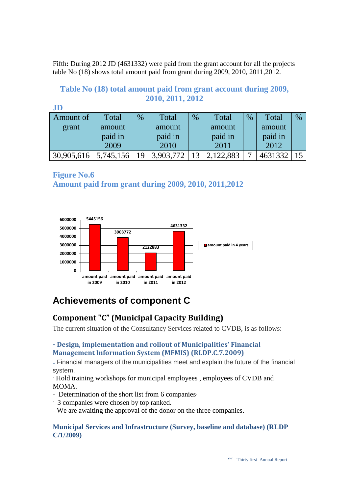Fifth**:** During 2012 JD (4631332) were paid from the grant account for all the projects table No (18) shows total amount paid from grant during 2009, 2010, 2011,2012.

#### **Table No (18) total amount paid from grant account during 2009, 2010, 2011, 2012 JD**

| JD         |           |      |           |      |         |      |         |               |
|------------|-----------|------|-----------|------|---------|------|---------|---------------|
| Amount of  | Total     | $\%$ | Total     | $\%$ | Total   | $\%$ | Total   | $\frac{0}{0}$ |
| grant      | amount    |      | amount    |      | amount  |      | amount  |               |
|            | paid in   |      | paid in   |      | paid in |      | paid in |               |
|            | 2009      |      | 2010      |      | 2011    |      | 2012    |               |
| 30,905,616 | 5,745,156 | 1 Q  | 3,903,772 |      | 122,883 | −    | 4631332 |               |

**Figure No.6 Amount paid from grant during 2009, 2010, 2011,2012**



## **Achievements of component C**

### **Component "C" (Municipal Capacity Building)**

The current situation of the Consultancy Services related to CVDB, is as follows: -

#### **- Design, implementation and rollout of Municipalities' Financial Management Information System (MFMIS) (RLDP.C.7.2009)**

- Financial managers of the municipalities meet and explain the future of the financial system.

- Hold training workshops for municipal employees , employees of CVDB and MOMA.

- Determination of the short list from 6 companies.
- 3 companies were chosen by top ranked.
- We are awaiting the approval of the donor on the three companies.

#### **Municipal Services and Infrastructure (Survey, baseline and database) (RLDP C/1/2009)**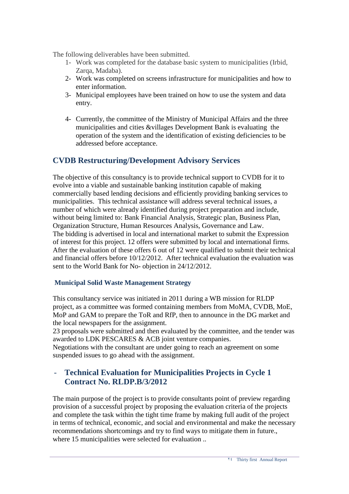The following deliverables have been submitted.

- 1- Work was completed for the database basic system to municipalities (Irbid, Zarqa, Madaba).
- 2- Work was completed on screens infrastructure for municipalities and how to enter information.
- 3- Municipal employees have been trained on how to use the system and data entry.
- 4- Currently, the committee of the Ministry of Municipal Affairs and the three municipalities and cities &villages Development Bank is evaluating the operation of the system and the identification of existing deficiencies to be addressed before acceptance.

### **CVDB Restructuring/Development Advisory Services**

The objective of this consultancy is to provide technical support to CVDB for it to evolve into a viable and sustainable banking institution capable of making commercially based lending decisions and efficiently providing banking services to municipalities. This technical assistance will address several technical issues, a number of which were already identified during project preparation and include, without being limited to: Bank Financial Analysis, Strategic plan, Business Plan, Organization Structure, Human Resources Analysis, Governance and Law. The bidding is advertised in local and international market to submit the Expression of interest for this project. 12 offers were submitted by local and international firms. After the evaluation of these offers 6 out of 12 were qualified to submit their technical and financial offers before 10/12/2012. After technical evaluation the evaluation was sent to the World Bank for No- objection in 24/12/2012.

#### **Municipal Solid Waste Management Strategy**

This consultancy service was initiated in 2011 during a WB mission for RLDP project, as a committee was formed containing members from MoMA, CVDB, MoE, MoP and GAM to prepare the ToR and RfP, then to announce in the DG market and the local newspapers for the assignment.

23 proposals were submitted and then evaluated by the committee, and the tender was awarded to LDK PESCARES & ACB joint venture companies.

Negotiations with the consultant are under going to reach an agreement on some suspended issues to go ahead with the assignment.

### - **Technical Evaluation for Municipalities Projects in Cycle 1 Contract No. RLDP.B/3/2012**

The main purpose of the project is to provide consultants point of preview regarding provision of a successful project by proposing the evaluation criteria of the projects and complete the task within the tight time frame by making full audit of the project in terms of technical, economic, and social and environmental and make the necessary recommendations shortcomings and try to find ways to mitigate them in future., where 15 municipalities were selected for evaluation ..